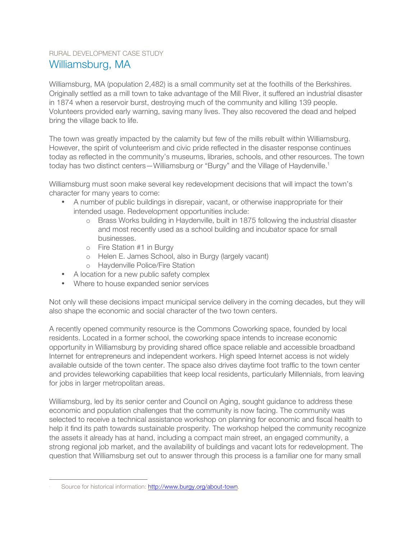## RURAL DEVELOPMENT CASE STUDY Williamsburg, MA

Williamsburg, MA (population 2,482) is a small community set at the foothills of the Berkshires. Originally settled as a mill town to take advantage of the Mill River, it suffered an industrial disaster in 1874 when a reservoir burst, destroying much of the community and killing 139 people. Volunteers provided early warning, saving many lives. They also recovered the dead and helped bring the village back to life.

The town was greatly impacted by the calamity but few of the mills rebuilt within Williamsburg. However, the spirit of volunteerism and civic pride reflected in the disaster response continues today as reflected in the community's museums, libraries, schools, and other resources. The town today has two distinct centers—Williamsburg or "Burgy" and the Village of Haydenville.<sup>1</sup>

Williamsburg must soon make several key redevelopment decisions that will impact the town's character for many years to come:

- A number of public buildings in disrepair, vacant, or otherwise inappropriate for their intended usage. Redevelopment opportunities include:
	- o Brass Works building in Haydenville, built in 1875 following the industrial disaster and most recently used as a school building and incubator space for small businesses.
	- o Fire Station #1 in Burgy
	- o Helen E. James School, also in Burgy (largely vacant)
	- o Haydenville Police/Fire Station
- A location for a new public safety complex
- Where to house expanded senior services

Not only will these decisions impact municipal service delivery in the coming decades, but they will also shape the economic and social character of the two town centers.

A recently opened community resource is the Commons Coworking space, founded by local residents. Located in a former school, the coworking space intends to increase economic opportunity in Williamsburg by providing shared office space reliable and accessible broadband Internet for entrepreneurs and independent workers. High speed Internet access is not widely available outside of the town center. The space also drives daytime foot traffic to the town center and provides teleworking capabilities that keep local residents, particularly Millennials, from leaving for jobs in larger metropolitan areas.

Williamsburg, led by its senior center and Council on Aging, sought guidance to address these economic and population challenges that the community is now facing. The community was selected to receive a technical assistance workshop on planning for economic and fiscal health to help it find its path towards sustainable prosperity. The workshop helped the community recognize the assets it already has at hand, including a compact main street, an engaged community, a strong regional job market, and the availability of buildings and vacant lots for redevelopment. The question that Williamsburg set out to answer through this process is a familiar one for many small

 $\overline{1}$ Source for historical information: http://www.burgy.org/about-town.